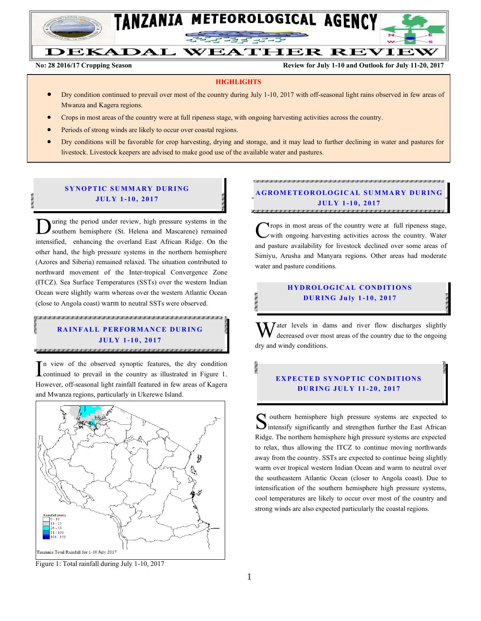

## DEKADAL WEATHER REVIEW

**No: 28 2016/17 Cropping Season Review for July 1-10 and Outlook for July 11-20, 2017**

#### **HIGHLIGHTS**

- Dry condition continued to prevail over most of the country during July 1-10, 2017 with off-seasonal light rains observed in few areas of Mwanza and Kagera regions.
- Crops in most areas of the country were at full ripeness stage, with ongoing harvesting activities across the country.
- Periods of strong winds are likely to occur over coastal regions.
- Dry conditions will be favorable for crop harvesting, drying and storage, and it may lead to further declining in water and pastures for livestock. Livestock keepers are advised to make good use of the available water and pastures.

#### **SYNOPTIC SUMMARY DURING JUL Y 1-10 , 2017**

uring the period under review, high pressure systems in the southern hemisphere (St. Helena and Mascarene) remained intensified, enhancing the overland East African Ridge. On the other hand, the high pressure systems in the northern hemisphere (Azores and Siberia) remained relaxed. The situation contributed to northward movement of the Inter-tropical Convergence Zone (ITCZ). Sea Surface Temperatures (SSTs) over the western Indian Ocean were slightly warm whereas over the western Atlantic Ocean (close to Angola coast) warm to neutral SSTs were observed.  $\overline{\mathbf{D}}$ 

#### A MALA MALA MALA LA MALA MALA MALA LA LA LA MALA LA MALA LA MALA LA LA MALA MALA MALA LA LA LA MALA LA MALA LA **RAINFALL PERFORMANCE DURING JUL Y 1-10 , 2017**

n view of the observed synoptic features, the dry condition In view of the observed synoptic features, the dry condition continued to prevail in the country as illustrated in Figure 1. However, off-seasonal light rainfall featured in few areas of Kagera and Mwanza regions, particularly in Ukerewe Island.



Figure 1: Total rainfall during July 1-10, 2017

IN THE COMMUNICATION OF THE COMMUNICATION OF THE COMMUNICATION OF THE COMMUNICATION OF THE COMMUNICATION OF THE COMMUNICATION **A GROM ETEOR OLO GICAL SU MMA RY DUR IN G JUL Y 1-10 , 2017**

rops in most areas of the country were at full ripeness stage, with ongoing harvesting activities across the country. Water and pasture availability for livestock declined over some areas of Simiyu, Arusha and Manyara regions. Other areas had moderate water and pasture conditions. C

#### **HYDROLOGICAL CONDITIONS DU R ING Ju ly 1 -10, 2017**

 $\mathbf{W}$  ater levels in dams and river flow discharges slightly decreased over most areas of the country due to the ongoing decreased over most areas of the country due to the ongoing dry and windy conditions.

#### **EXPECTED SYNOPTIC CONDITIONS DU R ING JUL Y 11 -20 , 2017**

 $\bigcap$  outhern hemisphere high pressure systems are expected to Soluthern hemisphere high pressure systems are expected to intensify significantly and strengthen further the East African Ridge. The northern hemisphere high pressure systems are expected to relax, thus allowing the ITCZ to continue moving northwards away from the country. SSTs are expected to continue being slightly warm over tropical western Indian Ocean and warm to neutral over the southeastern Atlantic Ocean (closer to Angola coast). Due to intensification of the southern hemisphere high pressure systems, cool temperatures are likely to occur over most of the country and strong winds are also expected particularly the coastal regions.